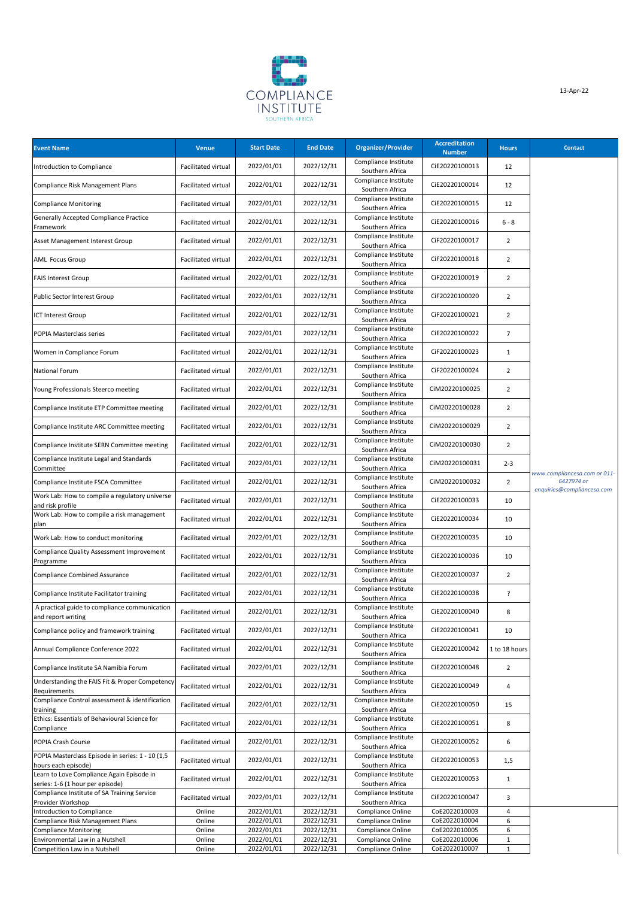

| <b>Event Name</b>                                                             | Venue               | <b>Start Date</b>        | <b>End Date</b>          | <b>Organizer/Provider</b>               | <b>Accreditation</b><br><b>Number</b> | <b>Hours</b>      | <b>Contact</b>                                                           |
|-------------------------------------------------------------------------------|---------------------|--------------------------|--------------------------|-----------------------------------------|---------------------------------------|-------------------|--------------------------------------------------------------------------|
| Introduction to Compliance                                                    | Facilitated virtual | 2022/01/01               | 2022/12/31               | Compliance Institute<br>Southern Africa | CiE20220100013                        | 12                |                                                                          |
| Compliance Risk Management Plans                                              | Facilitated virtual | 2022/01/01               | 2022/12/31               | Compliance Institute<br>Southern Africa | CiE20220100014                        | 12                |                                                                          |
| <b>Compliance Monitoring</b>                                                  | Facilitated virtual | 2022/01/01               | 2022/12/31               | Compliance Institute<br>Southern Africa | CiE20220100015                        | 12                |                                                                          |
| Generally Accepted Compliance Practice<br>Framework                           | Facilitated virtual | 2022/01/01               | 2022/12/31               | Compliance Institute<br>Southern Africa | CiE20220100016                        | $6 - 8$           |                                                                          |
| Asset Management Interest Group                                               | Facilitated virtual | 2022/01/01               | 2022/12/31               | Compliance Institute<br>Southern Africa | CiF20220100017                        | $\overline{2}$    |                                                                          |
| <b>AML Focus Group</b>                                                        | Facilitated virtual | 2022/01/01               | 2022/12/31               | Compliance Institute<br>Southern Africa | CiF20220100018                        | $\overline{2}$    |                                                                          |
| <b>FAIS Interest Group</b>                                                    | Facilitated virtual | 2022/01/01               | 2022/12/31               | Compliance Institute<br>Southern Africa | CiF20220100019                        | $\overline{2}$    |                                                                          |
| Public Sector Interest Group                                                  | Facilitated virtual | 2022/01/01               | 2022/12/31               | Compliance Institute<br>Southern Africa | CiF20220100020                        | $\overline{2}$    |                                                                          |
| ICT Interest Group                                                            | Facilitated virtual | 2022/01/01               | 2022/12/31               | Compliance Institute<br>Southern Africa | CiF20220100021                        | $\overline{2}$    |                                                                          |
| POPIA Masterclass series                                                      | Facilitated virtual | 2022/01/01               | 2022/12/31               | Compliance Institute<br>Southern Africa | CiE20220100022                        | $\overline{7}$    |                                                                          |
| Women in Compliance Forum                                                     | Facilitated virtual | 2022/01/01               | 2022/12/31               | Compliance Institute<br>Southern Africa | CiF20220100023                        | $\mathbf{1}$      |                                                                          |
| National Forum                                                                | Facilitated virtual | 2022/01/01               | 2022/12/31               | Compliance Institute<br>Southern Africa | CiF20220100024                        | $\overline{2}$    |                                                                          |
| Young Professionals Steerco meeting                                           | Facilitated virtual | 2022/01/01               | 2022/12/31               | Compliance Institute<br>Southern Africa | CiM20220100025                        | $\overline{2}$    |                                                                          |
| Compliance Institute ETP Committee meeting                                    | Facilitated virtual | 2022/01/01               | 2022/12/31               | Compliance Institute<br>Southern Africa | CiM20220100028                        | $\overline{2}$    |                                                                          |
| Compliance Institute ARC Committee meeting                                    | Facilitated virtual | 2022/01/01               | 2022/12/31               | Compliance Institute<br>Southern Africa | CiM20220100029                        | $\overline{2}$    |                                                                          |
| Compliance Institute SERN Committee meeting                                   | Facilitated virtual | 2022/01/01               | 2022/12/31               | Compliance Institute<br>Southern Africa | CiM20220100030                        | $\overline{2}$    |                                                                          |
| Compliance Institute Legal and Standards<br>Committee                         | Facilitated virtual | 2022/01/01               | 2022/12/31               | Compliance Institute<br>Southern Africa | CiM20220100031                        | $2 - 3$           |                                                                          |
| Compliance Institute FSCA Committee                                           | Facilitated virtual | 2022/01/01               | 2022/12/31               | Compliance Institute<br>Southern Africa | CiM20220100032                        | $\overline{2}$    | www.compliancesa.com or 011-<br>6427974 or<br>enquiries@compliancesa.com |
| Work Lab: How to compile a regulatory universe<br>and risk profile            | Facilitated virtual | 2022/01/01               | 2022/12/31               | Compliance Institute<br>Southern Africa | CiE20220100033                        | 10                |                                                                          |
| Work Lab: How to compile a risk management<br>plan                            | Facilitated virtual | 2022/01/01               | 2022/12/31               | Compliance Institute<br>Southern Africa | CiE20220100034                        | 10                |                                                                          |
| Work Lab: How to conduct monitoring                                           | Facilitated virtual | 2022/01/01               | 2022/12/31               | Compliance Institute<br>Southern Africa | CiE20220100035                        | 10                |                                                                          |
| Compliance Quality Assessment Improvement<br>Programme                        | Facilitated virtual | 2022/01/01               | 2022/12/31               | Compliance Institute<br>Southern Africa | CiE20220100036                        | 10                |                                                                          |
| Compliance Combined Assurance                                                 | Facilitated virtual | 2022/01/01               | 2022/12/31               | Compliance Institute<br>Southern Africa | CiE20220100037                        | $\overline{2}$    |                                                                          |
| Compliance Institute Facilitator training                                     | Facilitated virtual | 2022/01/01               | 2022/12/31               | Compliance Institute<br>Southern Africa | CiE20220100038                        | ?                 |                                                                          |
| A practical guide to compliance communication<br>and report writing           | Facilitated virtual | 2022/01/01               | 2022/12/31               | Compliance Institute<br>Southern Africa | CiE20220100040                        | 8                 |                                                                          |
| Compliance policy and framework training                                      | Facilitated virtual | 2022/01/01               | 2022/12/31               | Compliance Institute<br>Southern Africa | CiE20220100041                        | 10                |                                                                          |
| Annual Compliance Conference 2022                                             | Facilitated virtual | 2022/01/01               | 2022/12/31               | Compliance Institute<br>Southern Africa | CiE20220100042                        | 1 to 18 hours     |                                                                          |
| Compliance Institute SA Namibia Forum                                         | Facilitated virtual | 2022/01/01               | 2022/12/31               | Compliance Institute<br>Southern Africa | CiE20220100048                        | $\overline{2}$    |                                                                          |
| Understanding the FAIS Fit & Proper Competency<br>Requirements                | Facilitated virtual | 2022/01/01               | 2022/12/31               | Compliance Institute<br>Southern Africa | CiE20220100049                        | 4                 |                                                                          |
| Compliance Control assessment & identification<br>training                    | Facilitated virtual | 2022/01/01               | 2022/12/31               | Compliance Institute<br>Southern Africa | CiE20220100050                        | 15                |                                                                          |
| Ethics: Essentials of Behavioural Science for<br>Compliance                   | Facilitated virtual | 2022/01/01               | 2022/12/31               | Compliance Institute<br>Southern Africa | CiE20220100051                        | 8                 |                                                                          |
| POPIA Crash Course                                                            | Facilitated virtual | 2022/01/01               | 2022/12/31               | Compliance Institute<br>Southern Africa | CiE20220100052                        | 6                 |                                                                          |
| POPIA Masterclass Episode in series: 1 - 10 (1,5<br>hours each episode)       | Facilitated virtual | 2022/01/01               | 2022/12/31               | Compliance Institute<br>Southern Africa | CiE20220100053                        | 1,5               |                                                                          |
| Learn to Love Compliance Again Episode in<br>series: 1-6 (1 hour per episode) | Facilitated virtual | 2022/01/01               | 2022/12/31               | Compliance Institute<br>Southern Africa | CiE20220100053                        | $\mathbf{1}$      |                                                                          |
| Compliance Institute of SA Training Service<br>Provider Workshop              | Facilitated virtual | 2022/01/01               | 2022/12/31               | Compliance Institute<br>Southern Africa | CiE20220100047                        | 3                 |                                                                          |
| Introduction to Compliance                                                    | Online              | 2022/01/01               | 2022/12/31               | Compliance Online                       | CoE2022010003                         | 4                 |                                                                          |
| Compliance Risk Management Plans                                              | Online              | 2022/01/01               | 2022/12/31               | Compliance Online                       | CoE2022010004                         | 6                 |                                                                          |
| <b>Compliance Monitoring</b><br>Environmental Law in a Nutshell               | Online<br>Online    | 2022/01/01<br>2022/01/01 | 2022/12/31<br>2022/12/31 | Compliance Online<br>Compliance Online  | CoE2022010005<br>CoE2022010006        | 6<br>$\mathbf{1}$ |                                                                          |
| Competition Law in a Nutshell                                                 | Online              | 2022/01/01               | 2022/12/31               | Compliance Online                       | CoE2022010007                         | $\mathbf{1}$      |                                                                          |
|                                                                               |                     |                          |                          |                                         |                                       |                   |                                                                          |

13-Apr-22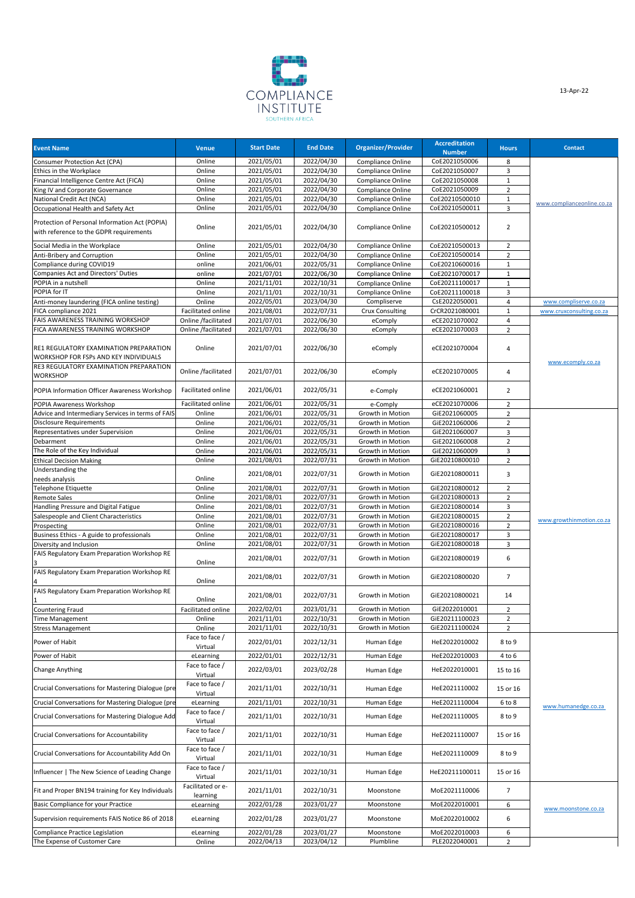

| <b>Event Name</b>                                                                         | <b>Venue</b>                  | <b>Start Date</b> | <b>End Date</b> | Organizer/Provider     | <b>Accreditation</b><br><b>Number</b> | <b>Hours</b>   | <b>Contact</b>             |
|-------------------------------------------------------------------------------------------|-------------------------------|-------------------|-----------------|------------------------|---------------------------------------|----------------|----------------------------|
| Consumer Protection Act (CPA)                                                             | Online                        | 2021/05/01        | 2022/04/30      | Compliance Online      | CoE2021050006                         | 8              |                            |
| Ethics in the Workplace                                                                   | Online                        | 2021/05/01        | 2022/04/30      | Compliance Online      | CoE2021050007                         | 3              |                            |
| Financial Intelligence Centre Act (FICA)                                                  | Online                        | 2021/05/01        | 2022/04/30      | Compliance Online      | CoE2021050008                         | $\mathbf{1}$   |                            |
| King IV and Corporate Governance                                                          | Online                        | 2021/05/01        | 2022/04/30      | Compliance Online      | CoE2021050009                         | $\overline{2}$ |                            |
| National Credit Act (NCA)                                                                 | Online                        | 2021/05/01        | 2022/04/30      | Compliance Online      | CoE20210500010                        | 1              | www.complianceonline.co.za |
| Occupational Health and Safety Act                                                        | Online                        | 2021/05/01        | 2022/04/30      | Compliance Online      | CoE20210500011                        | 3              |                            |
| Protection of Personal Information Act (POPIA)<br>with reference to the GDPR requirements | Online                        | 2021/05/01        | 2022/04/30      | Compliance Online      | CoE20210500012                        | $\overline{2}$ |                            |
|                                                                                           |                               |                   |                 |                        |                                       |                |                            |
| Social Media in the Workplace                                                             | Online                        | 2021/05/01        | 2022/04/30      | Compliance Online      | CoE20210500013                        | $\overline{2}$ |                            |
| Anti-Bribery and Corruption                                                               | Online                        | 2021/05/01        | 2022/04/30      | Compliance Online      | CoE20210500014                        | $\overline{2}$ |                            |
| Compliance during COVID19                                                                 | online                        | 2021/06/01        | 2022/05/31      | Compliance Online      | CoE20210600016                        | $\mathbf{1}$   |                            |
| Companies Act and Directors' Duties                                                       | online                        | 2021/07/01        | 2022/06/30      | Compliance Online      | CoE20210700017                        | $\mathbf{1}$   |                            |
| POPIA in a nutshell                                                                       | Online                        | 2021/11/01        | 2022/10/31      | Compliance Online      | CoE20211100017                        | 1              |                            |
| POPIA for IT                                                                              | Online                        | 2021/11/01        | 2022/10/31      | Compliance Online      | CoE20211100018                        | 3              |                            |
| Anti-money laundering (FICA online testing)                                               | Online                        | 2022/05/01        | 2023/04/30      | Compliserve            | CsE2022050001                         | 4              | www.compliserve.co.za      |
| FICA compliance 2021                                                                      | Facilitated online            | 2021/08/01        | 2022/07/31      | <b>Crux Consulting</b> | CrCR2021080001                        | $\mathbf{1}$   | www.cruxconsulting.co.za   |
| FAIS AWARENESS TRAINING WORKSHOP                                                          | Online /facilitated           | 2021/07/01        | 2022/06/30      | eComply                | eCE2021070002                         | $\overline{4}$ |                            |
| FICA AWARENESS TRAINING WORKSHOP                                                          | Online /facilitated           | 2021/07/01        | 2022/06/30      | eComply                | eCE2021070003                         | $\overline{2}$ |                            |
| RE1 REGULATORY EXAMINATION PREPARATION<br>WORKSHOP FOR FSPs AND KEY INDIVIDUALS           | Online                        | 2021/07/01        | 2022/06/30      | eComply                | eCE2021070004                         | 4              | www.ecomply.co.za          |
| RE3 REGULATORY EXAMINATION PREPARATION<br><b>WORKSHOP</b>                                 | Online /facilitated           | 2021/07/01        | 2022/06/30      | eComply                | eCE2021070005                         | 4              |                            |
| POPIA Information Officer Awareness Workshop                                              | Facilitated online            | 2021/06/01        | 2022/05/31      | e-Comply               | eCE2021060001                         | $\overline{2}$ |                            |
| POPIA Awareness Workshop                                                                  | Facilitated online            | 2021/06/01        | 2022/05/31      | e-Comply               | eCE2021070006                         | $\overline{2}$ |                            |
| Advice and Intermediary Services in terms of FAIS                                         | Online                        | 2021/06/01        | 2022/05/31      | Growth in Motion       | GiE2021060005                         | $\overline{2}$ |                            |
| <b>Disclosure Requirements</b>                                                            | Online                        | 2021/06/01        | 2022/05/31      | Growth in Motion       | GiE2021060006                         | $\overline{2}$ |                            |
| Representatives under Supervision                                                         | Online                        | 2021/06/01        | 2022/05/31      | Growth in Motion       | GiE2021060007                         | 3              |                            |
| Debarment                                                                                 | Online                        | 2021/06/01        | 2022/05/31      | Growth in Motion       | GiE2021060008                         | $\overline{2}$ |                            |
| The Role of the Key Individual                                                            | Online                        | 2021/06/01        | 2022/05/31      | Growth in Motion       | GiE2021060009                         | 3              |                            |
| <b>Ethical Decision Making</b>                                                            | Online                        | 2021/08/01        | 2022/07/31      | Growth in Motion       | GiE20210800010                        | $\overline{2}$ |                            |
| Understanding the<br>needs analysis                                                       | Online                        | 2021/08/01        | 2022/07/31      | Growth in Motion       | GiE20210800011                        | 3              |                            |
| <b>Telephone Etiquette</b>                                                                | Online                        | 2021/08/01        | 2022/07/31      | Growth in Motion       | GiE20210800012                        | $\overline{2}$ |                            |
| Remote Sales                                                                              | Online                        | 2021/08/01        | 2022/07/31      | Growth in Motion       | GiE20210800013                        | $\overline{2}$ |                            |
| Handling Pressure and Digital Fatigue                                                     | Online                        | 2021/08/01        | 2022/07/31      | Growth in Motion       | GiE20210800014                        | 3              |                            |
| Salespeople and Client Characteristics                                                    | Online                        | 2021/08/01        | 2022/07/31      | Growth in Motion       | GiE20210800015                        | $\overline{2}$ |                            |
| Prospecting                                                                               | Online                        | 2021/08/01        | 2022/07/31      | Growth in Motion       | GiE20210800016                        | $\overline{2}$ | www.growthinmotion.co.za   |
| Business Ethics - A guide to professionals                                                | Online                        | 2021/08/01        | 2022/07/31      | Growth in Motion       | GiE20210800017                        | 3              |                            |
| Diversity and Inclusion                                                                   | Online                        | 2021/08/01        | 2022/07/31      | Growth in Motion       | GiE20210800018                        | 3              |                            |
| FAIS Regulatory Exam Preparation Workshop RE                                              | Online                        | 2021/08/01        | 2022/07/31      | Growth in Motion       | GiE20210800019                        | 6              |                            |
| FAIS Regulatory Exam Preparation Workshop RE                                              | Online                        | 2021/08/01        | 2022/07/31      | Growth in Motion       | GiE20210800020                        | $\overline{7}$ |                            |
| FAIS Regulatory Exam Preparation Workshop RE                                              | Online                        | 2021/08/01        | 2022/07/31      | Growth in Motion       | GiE20210800021                        | 14             |                            |
| <b>Countering Fraud</b>                                                                   | Facilitated online            | 2022/02/01        | 2023/01/31      | Growth in Motion       | GiE2022010001                         | $\overline{2}$ |                            |
| <b>Time Management</b>                                                                    | Online                        | 2021/11/01        | 2022/10/31      | Growth in Motion       | GiE20211100023                        | $\overline{2}$ |                            |
| <b>Stress Management</b>                                                                  | Online                        | 2021/11/01        | 2022/10/31      | Growth in Motion       | GiE20211100024                        | $\overline{2}$ |                            |
| Power of Habit                                                                            | Face to face /<br>Virtual     | 2022/01/01        | 2022/12/31      | Human Edge             | HeE2022010002                         | 8 to 9         |                            |
| Power of Habit                                                                            | eLearning                     | 2022/01/01        | 2022/12/31      | Human Edge             | HeE2022010003                         | 4 to 6         |                            |
| <b>Change Anything</b>                                                                    | Face to face /<br>Virtual     | 2022/03/01        | 2023/02/28      | Human Edge             | HeE2022010001                         | 15 to 16       |                            |
| Crucial Conversations for Mastering Dialogue (pre                                         | Face to face /<br>Virtual     | 2021/11/01        | 2022/10/31      | Human Edge             | HeE2021110002                         | 15 or 16       |                            |
| Crucial Conversations for Mastering Dialogue (pre                                         | eLearning                     | 2021/11/01        | 2022/10/31      | Human Edge             | HeE2021110004                         | 6 to 8         | www.humanedge.co.za        |
| Crucial Conversations for Mastering Dialogue Add                                          | Face to face /<br>Virtual     | 2021/11/01        | 2022/10/31      | Human Edge             | HeE2021110005                         | 8 to 9         |                            |
| Crucial Conversations for Accountability                                                  | Face to face /<br>Virtual     | 2021/11/01        | 2022/10/31      | Human Edge             | HeE2021110007                         | 15 or 16       |                            |
| Crucial Conversations for Accountability Add On                                           | Face to face /<br>Virtual     | 2021/11/01        | 2022/10/31      | Human Edge             | HeE2021110009                         | 8 to 9         |                            |
| Influencer   The New Science of Leading Change                                            | Face to face /<br>Virtual     | 2021/11/01        | 2022/10/31      | Human Edge             | HeE20211100011                        | 15 or 16       |                            |
| Fit and Proper BN194 training for Key Individuals                                         | Facilitated or e-<br>learning | 2021/11/01        | 2022/10/31      | Moonstone              | MoE2021110006                         | $\overline{7}$ |                            |
| Basic Compliance for your Practice                                                        | eLearning                     | 2022/01/28        | 2023/01/27      | Moonstone              | MoE2022010001                         | 6              |                            |
| Supervision requirements FAIS Notice 86 of 2018                                           | eLearning                     | 2022/01/28        | 2023/01/27      | Moonstone              | MoE2022010002                         | 6              | www.moonstone.co.za        |
| Compliance Practice Legislation                                                           | eLearning                     | 2022/01/28        | 2023/01/27      | Moonstone              | MoE2022010003                         | 6              |                            |
| The Expense of Customer Care                                                              | Online                        | 2022/04/13        | 2023/04/12      | Plumbline              | PLE2022040001                         | $\overline{2}$ |                            |
|                                                                                           |                               |                   |                 |                        |                                       |                |                            |

13-Apr-22